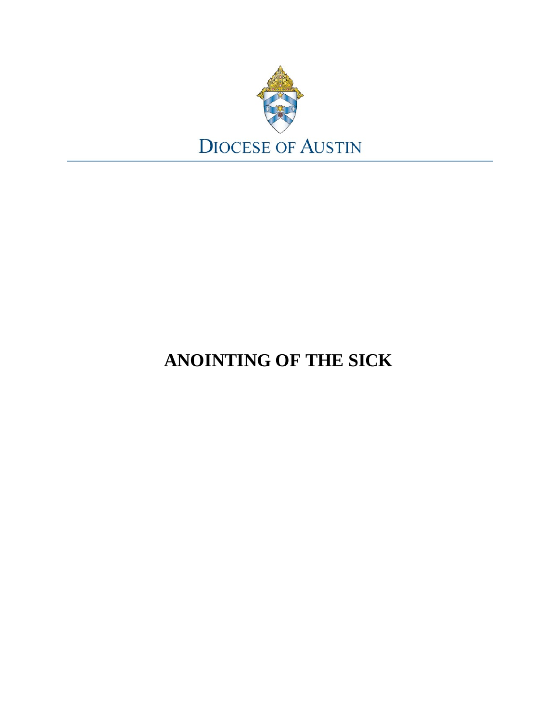

# **ANOINTING OF THE SICK**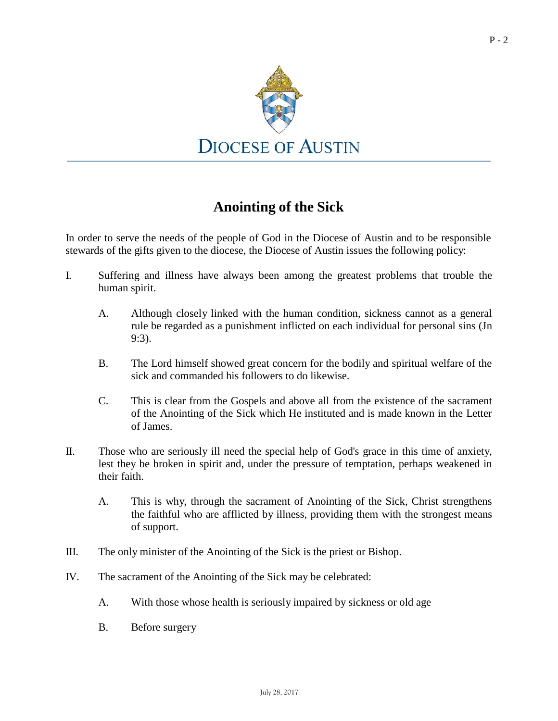

## **Anointing of the Sick**

In order to serve the needs of the people of God in the Diocese of Austin and to be responsible stewards of the gifts given to the diocese, the Diocese of Austin issues the following policy:

- I. Suffering and illness have always been among the greatest problems that trouble the human spirit.
	- A. Although closely linked with the human condition, sickness cannot as a general rule be regarded as a punishment inflicted on each individual for personal sins (Jn 9:3).
	- B. The Lord himself showed great concern for the bodily and spiritual welfare of the sick and commanded his followers to do likewise.
	- C. This is clear from the Gospels and above all from the existence of the sacrament of the Anointing of the Sick which He instituted and is made known in the Letter of James.
- II. Those who are seriously ill need the special help of God's grace in this time of anxiety, lest they be broken in spirit and, under the pressure of temptation, perhaps weakened in their faith.
	- A. This is why, through the sacrament of Anointing of the Sick, Christ strengthens the faithful who are afflicted by illness, providing them with the strongest means of support.
- III. The only minister of the Anointing of the Sick is the priest or Bishop.
- IV. The sacrament of the Anointing of the Sick may be celebrated:
	- A. With those whose health is seriously impaired by sickness or old age
	- B. Before surgery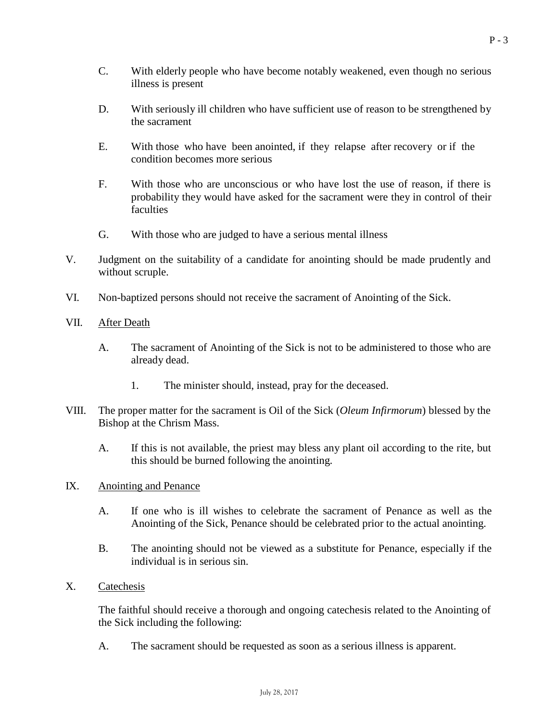- C. With elderly people who have become notably weakened, even though no serious illness is present
- D. With seriously ill children who have sufficient use of reason to be strengthened by the sacrament
- E. With those who have been anointed, if they relapse after recovery or if the condition becomes more serious
- F. With those who are unconscious or who have lost the use of reason, if there is probability they would have asked for the sacrament were they in control of their **faculties**
- G. With those who are judged to have a serious mental illness
- V. Judgment on the suitability of a candidate for anointing should be made prudently and without scruple.
- VI. Non-baptized persons should not receive the sacrament of Anointing of the Sick.
- VII. After Death
	- A. The sacrament of Anointing of the Sick is not to be administered to those who are already dead.
		- 1. The minister should, instead, pray for the deceased.
- VIII. The proper matter for the sacrament is Oil of the Sick (*Oleum Infirmorum*) blessed by the Bishop at the Chrism Mass.
	- A. If this is not available, the priest may bless any plant oil according to the rite, but this should be burned following the anointing.
- IX. Anointing and Penance
	- A. If one who is ill wishes to celebrate the sacrament of Penance as well as the Anointing of the Sick, Penance should be celebrated prior to the actual anointing.
	- B. The anointing should not be viewed as a substitute for Penance, especially if the individual is in serious sin.
- X. Catechesis

The faithful should receive a thorough and ongoing catechesis related to the Anointing of the Sick including the following:

A. The sacrament should be requested as soon as a serious illness is apparent.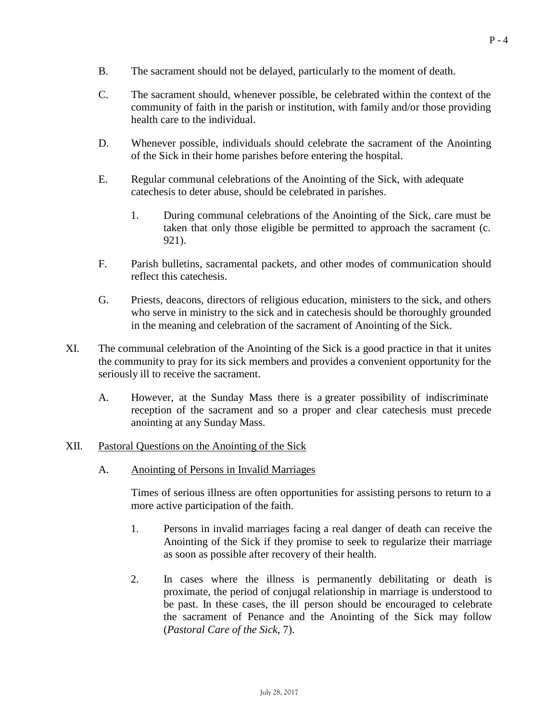- B. The sacrament should not be delayed, particularly to the moment of death.
- C. The sacrament should, whenever possible, be celebrated within the context of the community of faith in the parish or institution, with family and/or those providing health care to the individual.
- D. Whenever possible, individuals should celebrate the sacrament of the Anointing of the Sick in their home parishes before entering the hospital.
- E. Regular communal celebrations of the Anointing of the Sick, with adequate catechesis to deter abuse, should be celebrated in parishes.
	- 1. During communal celebrations of the Anointing of the Sick, care must be taken that only those eligible be permitted to approach the sacrament (c. 921).
- F. Parish bulletins, sacramental packets, and other modes of communication should reflect this catechesis.
- G. Priests, deacons, directors of religious education, ministers to the sick, and others who serve in ministry to the sick and in catechesis should be thoroughly grounded in the meaning and celebration of the sacrament of Anointing of the Sick.
- XI. The communal celebration of the Anointing of the Sick is a good practice in that it unites the community to pray for its sick members and provides a convenient opportunity for the seriously ill to receive the sacrament.
	- A. However, at the Sunday Mass there is a greater possibility of indiscriminate reception of the sacrament and so a proper and clear catechesis must precede anointing at any Sunday Mass.

#### XII. Pastoral Questions on the Anointing of the Sick

A. Anointing of Persons in Invalid Marriages

Times of serious illness are often opportunities for assisting persons to return to a more active participation of the faith.

- 1. Persons in invalid marriages facing a real danger of death can receive the Anointing of the Sick if they promise to seek to regularize their marriage as soon as possible after recovery of their health.
- 2. In cases where the illness is permanently debilitating or death is proximate, the period of conjugal relationship in marriage is understood to be past. In these cases, the ill person should be encouraged to celebrate the sacrament of Penance and the Anointing of the Sick may follow (*Pastoral Care of the Sick*, 7).